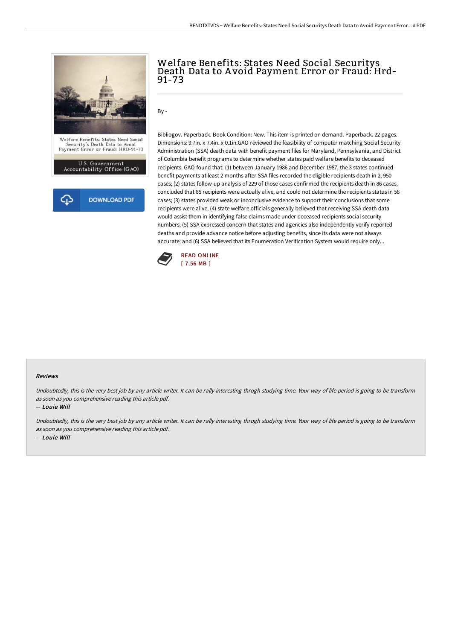

## Welfare Benefits: States Need Social Securitys Death Data to A void Payment Error or Fraud: Hrd-91-73

 $By -$ 

Bibliogov. Paperback. Book Condition: New. This item is printed on demand. Paperback. 22 pages. Dimensions: 9.7in. x 7.4in. x 0.1in.GAO reviewed the feasibility of computer matching Social Security Administration (SSA) death data with benefit payment files for Maryland, Pennsylvania, and District of Columbia benefit programs to determine whether states paid welfare benefits to deceased recipients. GAO found that: (1) between January 1986 and December 1987, the 3 states continued benefit payments at least 2 months after SSA files recorded the eligible recipients death in 2, 950 cases; (2) states follow-up analysis of 229 of those cases confirmed the recipients death in 86 cases, concluded that 85 recipients were actually alive, and could not determine the recipients status in 58 cases; (3) states provided weak or inconclusive evidence to support their conclusions that some recipients were alive; (4) state welfare officials generally believed that receiving SSA death data would assist them in identifying false claims made under deceased recipients social security numbers; (5) SSA expressed concern that states and agencies also independently verify reported deaths and provide advance notice before adjusting benefits, since its data were not always accurate; and (6) SSA believed that its Enumeration Verification System would require only...



## Reviews

Undoubtedly, this is the very best job by any article writer. It can be rally interesting throgh studying time. Your way of life period is going to be transform as soon as you comprehensive reading this article pdf.

-- Louie Will

Undoubtedly, this is the very best job by any article writer. It can be rally interesting throgh studying time. Your way of life period is going to be transform as soon as you comprehensive reading this article pdf. -- Louie Will